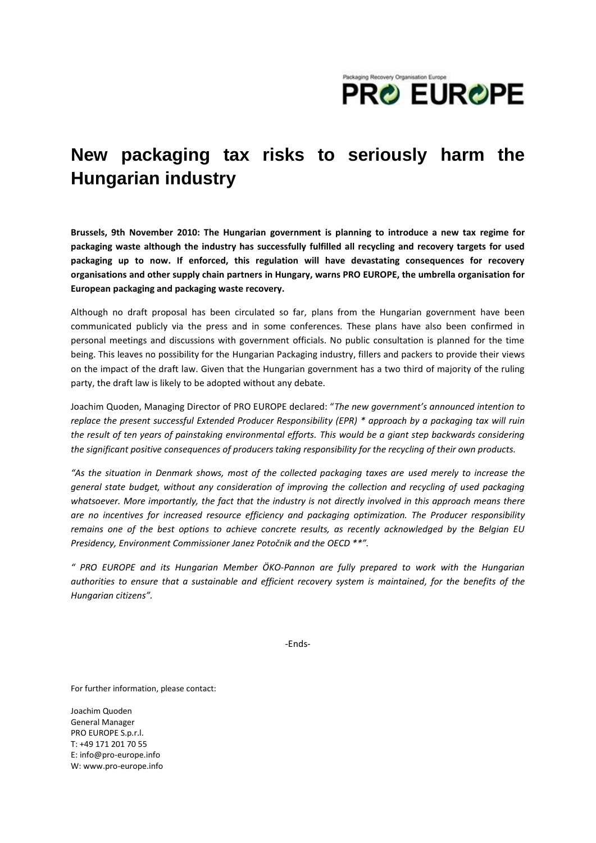

## **New packaging tax risks to seriously harm the Hungarian industry**

**Brussels, 9th November 2010: The Hungarian government is planning to introduce a new tax regime for packaging waste although the industry has successfully fulfilled all recycling and recovery targets for used packaging up to now. If enforced, this regulation will have devastating consequences for recovery organisations and other supply chain partners in Hungary, warns PRO EUROPE, the umbrella organisation for European packaging and packaging waste recovery.**

Although no draft proposal has been circulated so far, plans from the Hungarian government have been communicated publicly via the press and in some conferences. These plans have also been confirmed in personal meetings and discussions with government officials. No public consultation is planned for the time being. This leaves no possibility for the Hungarian Packaging industry, fillers and packers to provide their views on the impact of the draft law. Given that the Hungarian government has a two third of majority of the ruling party, the draft law is likely to be adopted without any debate.

Joachim Quoden, Managing Director of PRO EUROPE declared: "*The new government's announced intention to replace the present successful Extended Producer Responsibility (EPR) \* approach by a packaging tax will ruin the result of ten years of painstaking environmental efforts. This would be a giant step backwards considering the significant positive consequences of producers taking responsibility for the recycling of their own products.* 

*"As the situation in Denmark shows, most of the collected packaging taxes are used merely to increase the general state budget, without any consideration of improving the collection and recycling of used packaging whatsoever. More importantly, the fact that the industry is not directly involved in this approach means there are no incentives for increased resource efficiency and packaging optimization. The Producer responsibility remains one of the best options to achieve concrete results, as recently acknowledged by the Belgian EU Presidency, Environment Commissioner Janez Potočnik and the OECD \*\*".*

*" PRO EUROPE and its Hungarian Member ÖKO-Pannon are fully prepared to work with the Hungarian authorities to ensure that a sustainable and efficient recovery system is maintained, for the benefits of the Hungarian citizens".* 

-Ends-

For further information, please contact:

Joachim Quoden General Manager PRO EUROPE S.p.r.l. T: +49 171 201 70 55 E[: info@pro-europe.info](mailto:info@pro-europe.info) W[: www.pro-europe.info](http://www.pro-europe.info/)